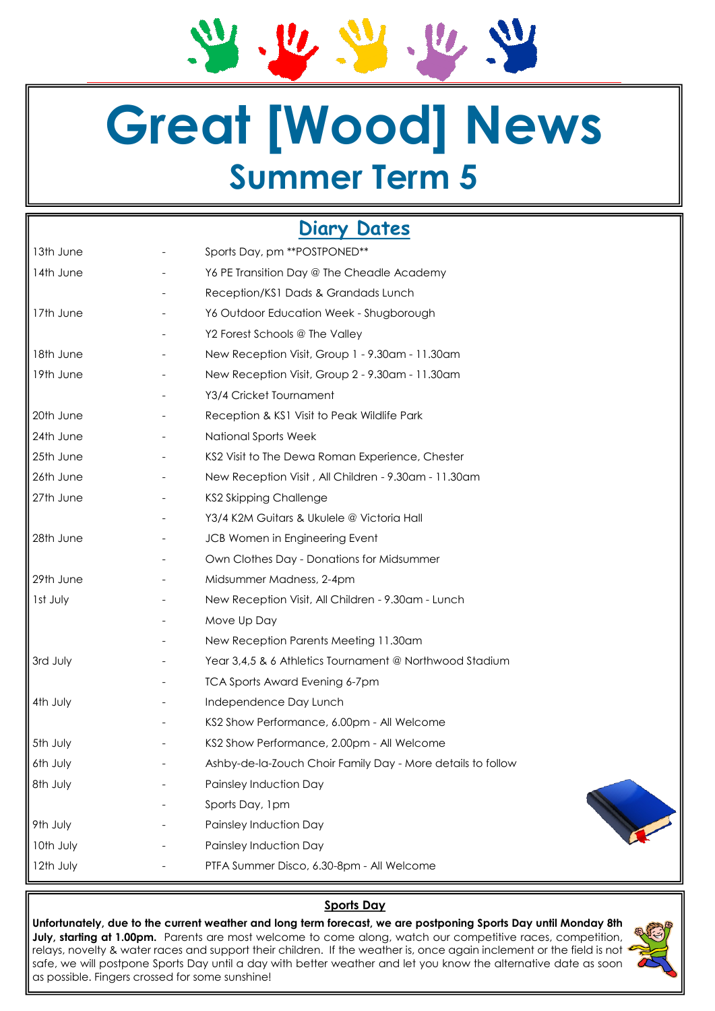# **Great [Wood] News Summer Term 5**

 $U$ 

 $\mathbf{u}$ 

## **Diary Dates**

| 13th June |                          | Sports Day, pm ** POSTPONED**                               |
|-----------|--------------------------|-------------------------------------------------------------|
| 14th June |                          | Y6 PE Transition Day @ The Cheadle Academy                  |
|           |                          | Reception/KS1 Dads & Grandads Lunch                         |
| 17th June |                          | Y6 Outdoor Education Week - Shugborough                     |
|           |                          | Y2 Forest Schools @ The Valley                              |
| 18th June |                          | New Reception Visit, Group 1 - 9.30am - 11.30am             |
| 19th June |                          | New Reception Visit, Group 2 - 9.30am - 11.30am             |
|           |                          | Y3/4 Cricket Tournament                                     |
| 20th June |                          | Reception & KS1 Visit to Peak Wildlife Park                 |
| 24th June |                          | National Sports Week                                        |
| 25th June |                          | KS2 Visit to The Dewa Roman Experience, Chester             |
| 26th June | $\overline{\phantom{a}}$ | New Reception Visit, All Children - 9.30am - 11.30am        |
| 27th June |                          | KS2 Skipping Challenge                                      |
|           |                          | Y3/4 K2M Guitars & Ukulele @ Victoria Hall                  |
| 28th June |                          | JCB Women in Engineering Event                              |
|           |                          | Own Clothes Day - Donations for Midsummer                   |
| 29th June |                          | Midsummer Madness, 2-4pm                                    |
| Ist July  |                          | New Reception Visit, All Children - 9.30am - Lunch          |
|           |                          | Move Up Day                                                 |
|           |                          | New Reception Parents Meeting 11.30am                       |
| 3rd July  |                          | Year 3,4,5 & 6 Athletics Tournament @ Northwood Stadium     |
|           |                          | <b>TCA Sports Award Evening 6-7pm</b>                       |
| 4th July  |                          | Independence Day Lunch                                      |
|           |                          | KS2 Show Performance, 6.00pm - All Welcome                  |
| 5th July  |                          | KS2 Show Performance, 2.00pm - All Welcome                  |
| 6th July  |                          | Ashby-de-la-Zouch Choir Family Day - More details to follow |
| 8th July  |                          | Painsley Induction Day                                      |
|           |                          | Sports Day, 1pm                                             |
| 9th July  |                          | Painsley Induction Day                                      |
| 10th July |                          | Painsley Induction Day                                      |
| 12th July |                          | PTFA Summer Disco, 6.30-8pm - All Welcome                   |
|           |                          |                                                             |

## **Sports Day**

**Unfortunately, due to the current weather and long term forecast, we are postponing Sports Day until Monday 8th July, starting at 1.00pm.** Parents are most welcome to come along, watch our competitive races, competition, relays, novelty & water races and support their children. If the weather is, once again inclement or the field is not safe, we will postpone Sports Day until a day with better weather and let you know the alternative date as soon as possible. Fingers crossed for some sunshine!